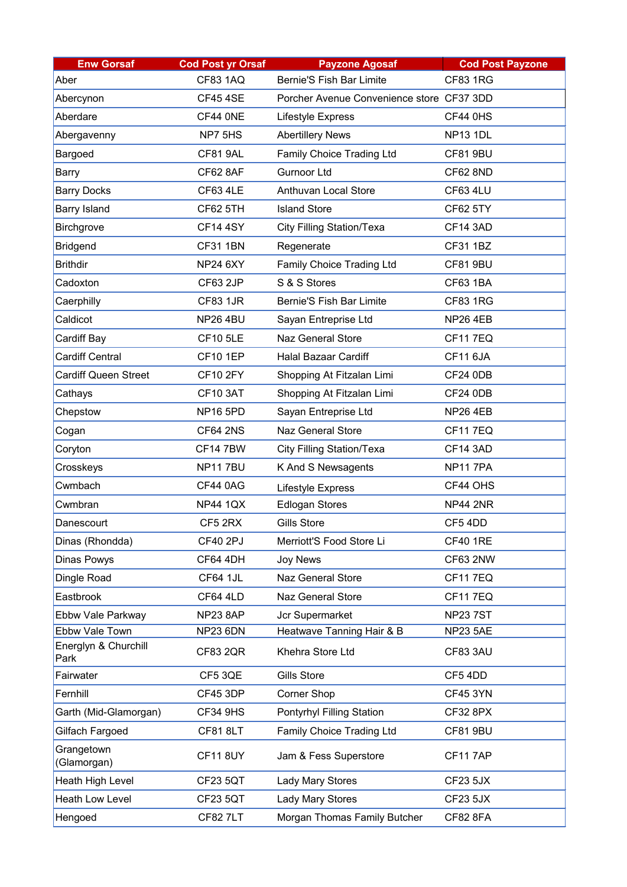| <b>Enw Gorsaf</b>            | <b>Cod Post yr Orsaf</b> | <b>Payzone Agosaf</b>                     | <b>Cod Post Payzone</b> |
|------------------------------|--------------------------|-------------------------------------------|-------------------------|
| Aber                         | <b>CF83 1AQ</b>          | <b>Bernie'S Fish Bar Limite</b>           | <b>CF83 1RG</b>         |
| Abercynon                    | <b>CF45 4SE</b>          | Porcher Avenue Convenience store CF37 3DD |                         |
| Aberdare                     | CF44 ONE                 | Lifestyle Express                         | <b>CF44 0HS</b>         |
| Abergavenny                  | NP7 5HS                  | <b>Abertillery News</b>                   | <b>NP13 1DL</b>         |
| Bargoed                      | <b>CF81 9AL</b>          | <b>Family Choice Trading Ltd</b>          | <b>CF81 9BU</b>         |
| Barry                        | <b>CF62 8AF</b>          | <b>Gurnoor Ltd</b>                        | <b>CF62 8ND</b>         |
| <b>Barry Docks</b>           | <b>CF63 4LE</b>          | <b>Anthuvan Local Store</b>               | <b>CF63 4LU</b>         |
| <b>Barry Island</b>          | <b>CF62 5TH</b>          | <b>Island Store</b>                       | <b>CF62 5TY</b>         |
| <b>Birchgrove</b>            | <b>CF14 4SY</b>          | <b>City Filling Station/Texa</b>          | <b>CF14 3AD</b>         |
| <b>Bridgend</b>              | <b>CF31 1BN</b>          | Regenerate                                | <b>CF31 1BZ</b>         |
| <b>Brithdir</b>              | <b>NP24 6XY</b>          | <b>Family Choice Trading Ltd</b>          | <b>CF81 9BU</b>         |
| Cadoxton                     | <b>CF63 2JP</b>          | S & S Stores                              | <b>CF63 1BA</b>         |
| Caerphilly                   | <b>CF83 1JR</b>          | <b>Bernie'S Fish Bar Limite</b>           | <b>CF83 1RG</b>         |
| Caldicot                     | <b>NP26 4BU</b>          | Sayan Entreprise Ltd                      | <b>NP26 4EB</b>         |
| Cardiff Bay                  | <b>CF10 5LE</b>          | <b>Naz General Store</b>                  | <b>CF117EQ</b>          |
| <b>Cardiff Central</b>       | <b>CF10 1EP</b>          | <b>Halal Bazaar Cardiff</b>               | CF11 6JA                |
| <b>Cardiff Queen Street</b>  | <b>CF10 2FY</b>          | Shopping At Fitzalan Limi                 | CF24 0DB                |
| Cathays                      | <b>CF10 3AT</b>          | Shopping At Fitzalan Limi                 | CF24 0DB                |
| Chepstow                     | <b>NP16 5PD</b>          | Sayan Entreprise Ltd                      | <b>NP26 4EB</b>         |
| Cogan                        | <b>CF64 2NS</b>          | <b>Naz General Store</b>                  | <b>CF117EQ</b>          |
| Coryton                      | <b>CF147BW</b>           | <b>City Filling Station/Texa</b>          | <b>CF14 3AD</b>         |
| Crosskeys                    | <b>NP117BU</b>           | K And S Newsagents                        | <b>NP117PA</b>          |
| Cwmbach                      | <b>CF44 0AG</b>          | <b>Lifestyle Express</b>                  | CF44 OHS                |
| Cwmbran                      | <b>NP44 1QX</b>          | <b>Edlogan Stores</b>                     | <b>NP44 2NR</b>         |
| Danescourt                   | CF5 2RX                  | <b>Gills Store</b>                        | CF54DD                  |
| Dinas (Rhondda)              | <b>CF40 2PJ</b>          | Merriott'S Food Store Li                  | <b>CF40 1RE</b>         |
| <b>Dinas Powys</b>           | <b>CF64 4DH</b>          | <b>Joy News</b>                           | <b>CF63 2NW</b>         |
| Dingle Road                  | <b>CF64 1JL</b>          | <b>Naz General Store</b>                  | <b>CF117EQ</b>          |
| Eastbrook                    | <b>CF64 4LD</b>          | <b>Naz General Store</b>                  | <b>CF117EQ</b>          |
| Ebbw Vale Parkway            | NP238AP                  | Jcr Supermarket                           | <b>NP237ST</b>          |
| Ebbw Vale Town               | <b>NP23 6DN</b>          | Heatwave Tanning Hair & B                 | <b>NP23 5AE</b>         |
| Energlyn & Churchill<br>Park | <b>CF83 2QR</b>          | Khehra Store Ltd                          | CF83 3AU                |
| Fairwater                    | CF5 3QE                  | <b>Gills Store</b>                        | CF54DD                  |
| Fernhill                     | CF45 3DP                 | <b>Corner Shop</b>                        | <b>CF45 3YN</b>         |
| Garth (Mid-Glamorgan)        | <b>CF34 9HS</b>          | <b>Pontyrhyl Filling Station</b>          | <b>CF32 8PX</b>         |
| Gilfach Fargoed              | <b>CF81 8LT</b>          | <b>Family Choice Trading Ltd</b>          | <b>CF81 9BU</b>         |
| Grangetown<br>(Glamorgan)    | <b>CF118UY</b>           | Jam & Fess Superstore                     | <b>CF117AP</b>          |
| Heath High Level             | <b>CF23 5QT</b>          | <b>Lady Mary Stores</b>                   | CF23 5JX                |
| <b>Heath Low Level</b>       | <b>CF23 5QT</b>          | <b>Lady Mary Stores</b>                   | CF23 5JX                |
| Hengoed                      | <b>CF82 7LT</b>          | Morgan Thomas Family Butcher              | <b>CF82 8FA</b>         |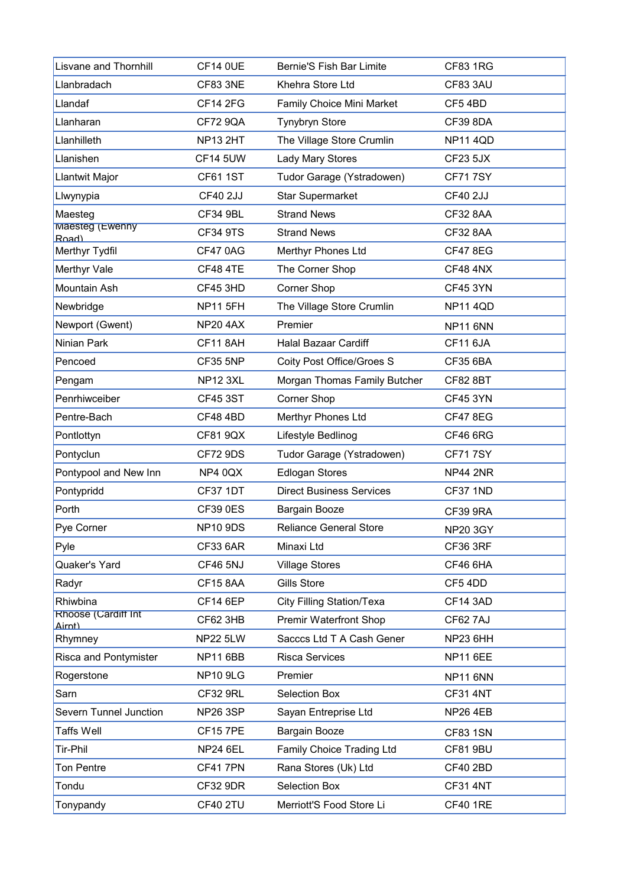| <b>Lisvane and Thornhill</b>         | <b>CF14 0UE</b> | <b>Bernie'S Fish Bar Limite</b>  | <b>CF83 1RG</b> |
|--------------------------------------|-----------------|----------------------------------|-----------------|
| Llanbradach                          | <b>CF83 3NE</b> | Khehra Store Ltd                 | CF83 3AU        |
| Llandaf                              | <b>CF14 2FG</b> | <b>Family Choice Mini Market</b> | CF54BD          |
| Llanharan                            | <b>CF72 9QA</b> | <b>Tynybryn Store</b>            | <b>CF39 8DA</b> |
| Llanhilleth                          | <b>NP13 2HT</b> | The Village Store Crumlin        | <b>NP11 4QD</b> |
| Llanishen                            | <b>CF14 5UW</b> | <b>Lady Mary Stores</b>          | CF23 5JX        |
| Llantwit Major                       | <b>CF61 1ST</b> | Tudor Garage (Ystradowen)        | <b>CF717SY</b>  |
| Llwynypia                            | <b>CF40 2JJ</b> | <b>Star Supermarket</b>          | <b>CF40 2JJ</b> |
| Maesteg                              | <b>CF34 9BL</b> | <b>Strand News</b>               | <b>CF32 8AA</b> |
| Maesteg (Ewenny<br>Road)             | <b>CF34 9TS</b> | <b>Strand News</b>               | <b>CF32 8AA</b> |
| Merthyr Tydfil                       | CF470AG         | <b>Merthyr Phones Ltd</b>        | <b>CF47 8EG</b> |
| <b>Merthyr Vale</b>                  | <b>CF48 4TE</b> | The Corner Shop                  | <b>CF48 4NX</b> |
| Mountain Ash                         | <b>CF45 3HD</b> | <b>Corner Shop</b>               | <b>CF45 3YN</b> |
| Newbridge                            | <b>NP11 5FH</b> | The Village Store Crumlin        | <b>NP11 4QD</b> |
| Newport (Gwent)                      | <b>NP20 4AX</b> | Premier                          | <b>NP11 6NN</b> |
| Ninian Park                          | <b>CF11 8AH</b> | <b>Halal Bazaar Cardiff</b>      | CF11 6JA        |
| Pencoed                              | <b>CF35 5NP</b> | <b>Coity Post Office/Groes S</b> | <b>CF35 6BA</b> |
| Pengam                               | <b>NP12 3XL</b> | Morgan Thomas Family Butcher     | <b>CF82 8BT</b> |
| Penrhiwceiber                        | <b>CF45 3ST</b> | <b>Corner Shop</b>               | <b>CF45 3YN</b> |
| Pentre-Bach                          | <b>CF48 4BD</b> | <b>Merthyr Phones Ltd</b>        | <b>CF47 8EG</b> |
| Pontlottyn                           | <b>CF81 9QX</b> | Lifestyle Bedlinog               | <b>CF46 6RG</b> |
| Pontyclun                            | <b>CF72 9DS</b> | Tudor Garage (Ystradowen)        | <b>CF717SY</b>  |
| Pontypool and New Inn                | NP4 0QX         | <b>Edlogan Stores</b>            | <b>NP44 2NR</b> |
| Pontypridd                           | <b>CF37 1DT</b> | <b>Direct Business Services</b>  | <b>CF37 1ND</b> |
| Porth                                | <b>CF39 0ES</b> | <b>Bargain Booze</b>             | <b>CF39 9RA</b> |
| Pye Corner                           | <b>NP10 9DS</b> | <b>Reliance General Store</b>    | <b>NP20 3GY</b> |
| Pyle                                 | <b>CF33 6AR</b> | Minaxi Ltd                       | <b>CF36 3RF</b> |
| <b>Quaker's Yard</b>                 | <b>CF46 5NJ</b> | <b>Village Stores</b>            | <b>CF46 6HA</b> |
| Radyr                                | <b>CF15 8AA</b> | <b>Gills Store</b>               | CF54DD          |
| Rhiwbina                             | <b>CF14 6EP</b> | <b>City Filling Station/Texa</b> | <b>CF14 3AD</b> |
| <b>Rhoose (Cardiff Int</b><br>Airnt) | CF62 3HB        | <b>Premir Waterfront Shop</b>    | CF62 7AJ        |
| Rhymney                              | <b>NP22 5LW</b> | Sacccs Ltd T A Cash Gener        | NP23 6HH        |
| <b>Risca and Pontymister</b>         | <b>NP11 6BB</b> | <b>Risca Services</b>            | <b>NP11 6EE</b> |
| Rogerstone                           | <b>NP10 9LG</b> | Premier                          | <b>NP11 6NN</b> |
| Sarn                                 | <b>CF32 9RL</b> | <b>Selection Box</b>             | <b>CF31 4NT</b> |
| <b>Severn Tunnel Junction</b>        | <b>NP26 3SP</b> | Sayan Entreprise Ltd             | <b>NP26 4EB</b> |
| Taffs Well                           | <b>CF157PE</b>  | Bargain Booze                    | <b>CF83 1SN</b> |
| Tir-Phil                             | <b>NP24 6EL</b> | <b>Family Choice Trading Ltd</b> | <b>CF81 9BU</b> |
| <b>Ton Pentre</b>                    | CF417PN         | Rana Stores (Uk) Ltd             | <b>CF40 2BD</b> |
| Tondu                                | <b>CF32 9DR</b> | <b>Selection Box</b>             | <b>CF31 4NT</b> |
| Tonypandy                            | <b>CF40 2TU</b> | Merriott'S Food Store Li         | <b>CF40 1RE</b> |